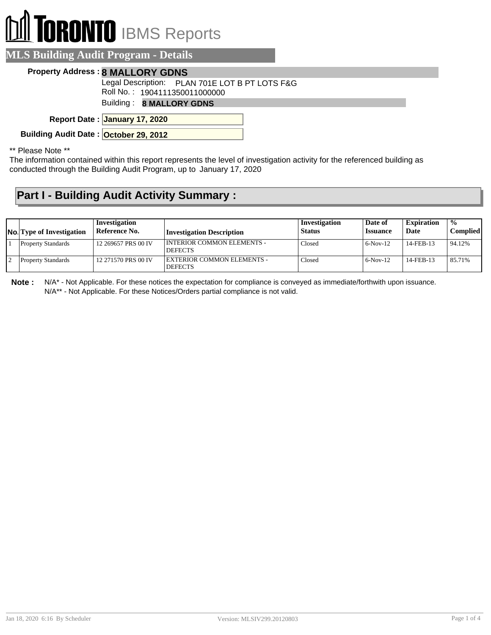# **RONTO** IBMS Reports

### **MLS Building Audit Program - Details**

#### **Property Address : 8 MALLORY GDNS**

Legal Description: PLAN 701E LOT B PT LOTS F&G

Roll No. : 1904111350011000000

Building : **8 MALLORY GDNS**

**January 17, 2020 Report Date :**

**Building Audit Date : October 29, 2012**

\*\* Please Note \*\*

The information contained within this report represents the level of investigation activity for the referenced building as conducted through the Building Audit Program, up to January 17, 2020

## **Part I - Building Audit Activity Summary :**

| <b>No.</b> Type of Investigation | Investigation<br>Reference No. | Investigation Description                    | Investigation<br><b>Status</b> | Date of<br><i><b>Issuance</b></i> | <b>Expiration</b><br>Date | $\frac{0}{0}$<br>Compliedl |
|----------------------------------|--------------------------------|----------------------------------------------|--------------------------------|-----------------------------------|---------------------------|----------------------------|
| <b>Property Standards</b>        | 12 269657 PRS 00 IV            | INTERIOR COMMON ELEMENTS -<br><b>DEFECTS</b> | Closed                         | $6-Nov-12$                        | 14-FEB-13                 | 94.12%                     |
| <b>Property Standards</b>        | 12 271570 PRS 00 IV            | EXTERIOR COMMON ELEMENTS -<br><b>DEFECTS</b> | Closed                         | $6-Nov-12$                        | 14-FEB-13                 | 85.71%                     |

**Note :** N/A\* - Not Applicable. For these notices the expectation for compliance is conveyed as immediate/forthwith upon issuance. N/A\*\* - Not Applicable. For these Notices/Orders partial compliance is not valid.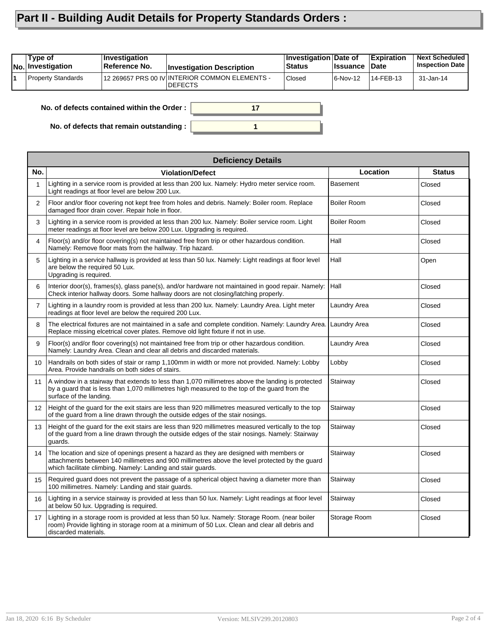# **Part II - Building Audit Details for Property Standards Orders :**

| Type of<br><b>No.</b> Investigation        | Investigation<br>Reference No. | <b>Investigation Description</b>                                  | Investigation Date of<br><b>Status</b> | <b>Issuance</b> | <b>Expiration</b><br><b>Date</b> | <b>Next Scheduled</b><br><b>Inspection Date</b> |
|--------------------------------------------|--------------------------------|-------------------------------------------------------------------|----------------------------------------|-----------------|----------------------------------|-------------------------------------------------|
| Property Standards                         |                                | 12 269657 PRS 00 IV INTERIOR COMMON ELEMENTS -<br><b>IDEFECTS</b> | <b>Closed</b>                          | 6-Nov-12        | 14-FEB-13                        | 31-Jan-14                                       |
| No. of defects contained within the Order: |                                |                                                                   |                                        |                 |                                  |                                                 |

**1**

**No. of defects that remain outstanding :**

|                 | <b>Deficiency Details</b>                                                                                                                                                                                                                                 |                    |               |  |  |  |  |
|-----------------|-----------------------------------------------------------------------------------------------------------------------------------------------------------------------------------------------------------------------------------------------------------|--------------------|---------------|--|--|--|--|
| No.             | <b>Violation/Defect</b>                                                                                                                                                                                                                                   | Location           | <b>Status</b> |  |  |  |  |
| 1               | Lighting in a service room is provided at less than 200 lux. Namely: Hydro meter service room.<br>Light readings at floor level are below 200 Lux.                                                                                                        | <b>Basement</b>    | Closed        |  |  |  |  |
| $\overline{2}$  | Floor and/or floor covering not kept free from holes and debris. Namely: Boiler room. Replace<br>damaged floor drain cover. Repair hole in floor.                                                                                                         | <b>Boiler Room</b> | Closed        |  |  |  |  |
| 3               | Lighting in a service room is provided at less than 200 lux. Namely: Boiler service room. Light<br>meter readings at floor level are below 200 Lux. Upgrading is required.                                                                                | <b>Boiler Room</b> | Closed        |  |  |  |  |
| $\overline{4}$  | Floor(s) and/or floor covering(s) not maintained free from trip or other hazardous condition.<br>Namely: Remove floor mats from the hallway. Trip hazard.                                                                                                 | Hall               | Closed        |  |  |  |  |
| 5               | Lighting in a service hallway is provided at less than 50 lux. Namely: Light readings at floor level<br>are below the required 50 Lux.<br>Upgrading is required.                                                                                          | Hall               | Open          |  |  |  |  |
| 6               | Interior door(s), frames(s), glass pane(s), and/or hardware not maintained in good repair. Namely:<br>Check interior hallway doors. Some hallway doors are not closing/latching properly.                                                                 | Hall               | Closed        |  |  |  |  |
| $\overline{7}$  | Lighting in a laundry room is provided at less than 200 lux. Namely: Laundry Area. Light meter<br>readings at floor level are below the required 200 Lux.                                                                                                 | Laundry Area       | Closed        |  |  |  |  |
| 8               | The electrical fixtures are not maintained in a safe and complete condition. Namely: Laundry Area.<br>Replace missing elcetrical cover plates. Remove old light fixture if not in use.                                                                    | Laundry Area       | Closed        |  |  |  |  |
| 9               | Floor(s) and/or floor covering(s) not maintained free from trip or other hazardous condition.<br>Namely: Laundry Area. Clean and clear all debris and discarded materials.                                                                                | Laundry Area       | Closed        |  |  |  |  |
| 10              | Handrails on both sides of stair or ramp 1,100mm in width or more not provided. Namely: Lobby<br>Area. Provide handrails on both sides of stairs.                                                                                                         | Lobby              | Closed        |  |  |  |  |
| 11              | A window in a stairway that extends to less than 1,070 millimetres above the landing is protected<br>by a guard that is less than 1,070 millimetres high measured to the top of the guard from the<br>surface of the landing.                             | Stairway           | Closed        |  |  |  |  |
| 12 <sup>2</sup> | Height of the quard for the exit stairs are less than 920 millimetres measured vertically to the top<br>of the guard from a line drawn through the outside edges of the stair nosings.                                                                    | Stairway           | Closed        |  |  |  |  |
| 13              | Height of the guard for the exit stairs are less than 920 millimetres measured vertically to the top<br>of the quard from a line drawn through the outside edges of the stair nosings. Namely: Stairway<br>guards.                                        | Stairway           | Closed        |  |  |  |  |
| 14              | The location and size of openings present a hazard as they are designed with members or<br>attachments between 140 millimetres and 900 millimetres above the level protected by the guard<br>which facilitate climbing. Namely: Landing and stair quards. | Stairway           | Closed        |  |  |  |  |
| 15              | Required guard does not prevent the passage of a spherical object having a diameter more than<br>100 millimetres. Namely: Landing and stair guards.                                                                                                       | Stairway           | Closed        |  |  |  |  |
| 16              | Lighting in a service stairway is provided at less than 50 lux. Namely: Light readings at floor level<br>at below 50 lux. Upgrading is required.                                                                                                          | Stairway           | Closed        |  |  |  |  |
| 17              | Lighting in a storage room is provided at less than 50 lux. Namely: Storage Room. (near boiler<br>room) Provide lighting in storage room at a minimum of 50 Lux. Clean and clear all debris and<br>discarded materials.                                   | Storage Room       | Closed        |  |  |  |  |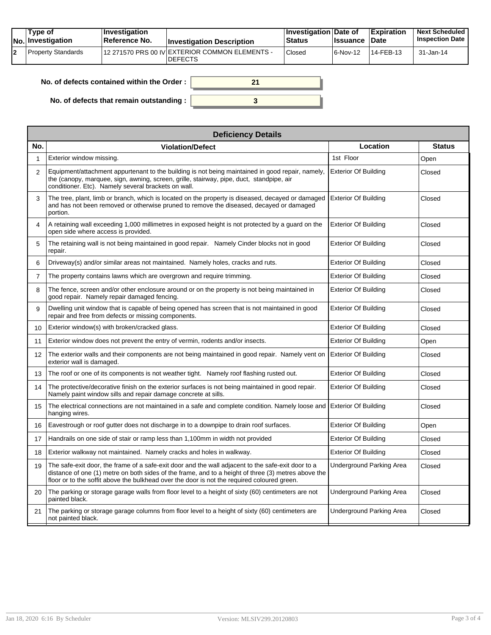|  | Tvpe of<br>$ No $ Investigation | <b>Investigation</b><br>Reference No. | <b>Investigation Description</b>                                 | <b>Investigation Date of</b><br><b>Status</b> | <b>Issuance Date</b> | Expiration | <b>Next Scheduled</b><br><b>Inspection Date</b> |
|--|---------------------------------|---------------------------------------|------------------------------------------------------------------|-----------------------------------------------|----------------------|------------|-------------------------------------------------|
|  | Property Standards              |                                       | 12 271570 PRS 00 IV EXTERIOR COMMON ELEMENTS -<br><b>DEFECTS</b> | Closed                                        | $ 6-Nov-12 $         | 14-FEB-13  | 31-Jan-14                                       |

| No. of defects contained within the Order:       |  |
|--------------------------------------------------|--|
| No. of defects that remain outstanding : $\vert$ |  |

|                | <b>Deficiency Details</b>                                                                                                                                                                                                                                                                                |                                 |               |  |  |  |  |  |
|----------------|----------------------------------------------------------------------------------------------------------------------------------------------------------------------------------------------------------------------------------------------------------------------------------------------------------|---------------------------------|---------------|--|--|--|--|--|
| No.            | <b>Violation/Defect</b>                                                                                                                                                                                                                                                                                  | Location                        | <b>Status</b> |  |  |  |  |  |
| 1              | Exterior window missing.                                                                                                                                                                                                                                                                                 | 1st Floor                       | Open          |  |  |  |  |  |
| $\overline{2}$ | Equipment/attachment appurtenant to the building is not being maintained in good repair, namely,<br>the (canopy, marquee, sign, awning, screen, grille, stairway, pipe, duct, standpipe, air<br>conditioner. Etc). Namely several brackets on wall.                                                      | <b>Exterior Of Building</b>     | Closed        |  |  |  |  |  |
| 3              | The tree, plant, limb or branch, which is located on the property is diseased, decayed or damaged<br>and has not been removed or otherwise pruned to remove the diseased, decaved or damaged<br>portion.                                                                                                 | <b>Exterior Of Building</b>     | Closed        |  |  |  |  |  |
| 4              | A retaining wall exceeding 1,000 millimetres in exposed height is not protected by a quard on the<br>open side where access is provided.                                                                                                                                                                 | <b>Exterior Of Building</b>     | Closed        |  |  |  |  |  |
| 5              | The retaining wall is not being maintained in good repair. Namely Cinder blocks not in good<br>repair.                                                                                                                                                                                                   | <b>Exterior Of Building</b>     | Closed        |  |  |  |  |  |
| 6              | Driveway(s) and/or similar areas not maintained. Namely holes, cracks and ruts.                                                                                                                                                                                                                          | <b>Exterior Of Building</b>     | Closed        |  |  |  |  |  |
| $\overline{7}$ | The property contains lawns which are overgrown and require trimming.                                                                                                                                                                                                                                    | <b>Exterior Of Building</b>     | Closed        |  |  |  |  |  |
| 8              | The fence, screen and/or other enclosure around or on the property is not being maintained in<br>good repair. Namely repair damaged fencing.                                                                                                                                                             | <b>Exterior Of Building</b>     | Closed        |  |  |  |  |  |
| 9              | Dwelling unit window that is capable of being opened has screen that is not maintained in good<br>repair and free from defects or missing components.                                                                                                                                                    | <b>Exterior Of Building</b>     | Closed        |  |  |  |  |  |
| 10             | Exterior window(s) with broken/cracked glass.                                                                                                                                                                                                                                                            | <b>Exterior Of Building</b>     | Closed        |  |  |  |  |  |
| 11             | Exterior window does not prevent the entry of vermin, rodents and/or insects.                                                                                                                                                                                                                            | <b>Exterior Of Building</b>     | Open          |  |  |  |  |  |
| 12             | The exterior walls and their components are not being maintained in good repair. Namely vent on<br>exterior wall is damaged.                                                                                                                                                                             | <b>Exterior Of Building</b>     | Closed        |  |  |  |  |  |
| 13             | The roof or one of its components is not weather tight. Namely roof flashing rusted out.                                                                                                                                                                                                                 | <b>Exterior Of Building</b>     | Closed        |  |  |  |  |  |
| 14             | The protective/decorative finish on the exterior surfaces is not being maintained in good repair.<br>Namely paint window sills and repair damage concrete at sills.                                                                                                                                      | <b>Exterior Of Building</b>     | Closed        |  |  |  |  |  |
| 15             | The electrical connections are not maintained in a safe and complete condition. Namely loose and Exterior Of Building<br>hanging wires.                                                                                                                                                                  |                                 | Closed        |  |  |  |  |  |
| 16             | Eavestrough or roof gutter does not discharge in to a downpipe to drain roof surfaces.                                                                                                                                                                                                                   | <b>Exterior Of Building</b>     | Open          |  |  |  |  |  |
| 17             | Handrails on one side of stair or ramp less than 1,100mm in width not provided                                                                                                                                                                                                                           | <b>Exterior Of Building</b>     | Closed        |  |  |  |  |  |
| 18             | Exterior walkway not maintained. Namely cracks and holes in walkway.                                                                                                                                                                                                                                     | <b>Exterior Of Building</b>     | Closed        |  |  |  |  |  |
| 19             | The safe-exit door, the frame of a safe-exit door and the wall adjacent to the safe-exit door to a<br>distance of one (1) metre on both sides of the frame, and to a height of three (3) metres above the<br>floor or to the soffit above the bulkhead over the door is not the required coloured green. | Underground Parking Area        | Closed        |  |  |  |  |  |
| 20             | The parking or storage garage walls from floor level to a height of sixty (60) centimeters are not<br>painted black.                                                                                                                                                                                     | <b>Underground Parking Area</b> | Closed        |  |  |  |  |  |
| 21             | The parking or storage garage columns from floor level to a height of sixty (60) centimeters are<br>not painted black.                                                                                                                                                                                   | <b>Underground Parking Area</b> | Closed        |  |  |  |  |  |